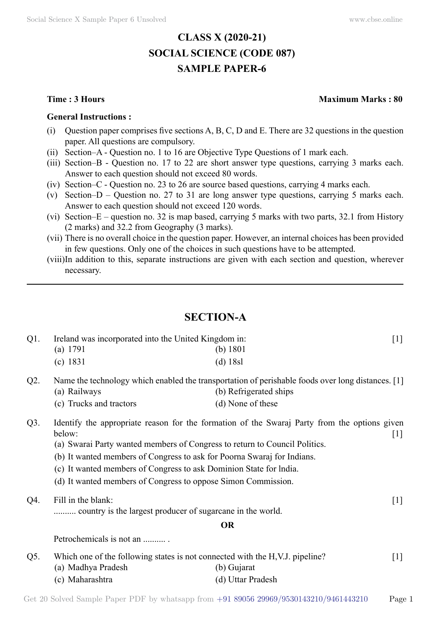# **CLASS X (2020-21) SOCIAL SCIENCE (CODE 087) SAMPLE PAPER-6**

#### **General Instructions :**

- (i) Question paper comprises five sections  $A, B, C, D$  and E. There are 32 questions in the question paper. All questions are compulsory.
- (ii) Section–A Question no. 1 to 16 are Objective Type Questions of 1 mark each.
- (iii) Section–B Question no. 17 to 22 are short answer type questions, carrying 3 marks each. Answer to each question should not exceed 80 words.
- (iv) Section–C Question no. 23 to 26 are source based questions, carrying 4 marks each.
- (v) Section–D Question no. 27 to 31 are long answer type questions, carrying 5 marks each. Answer to each question should not exceed 120 words.
- (vi) Section–E question no. 32 is map based, carrying 5 marks with two parts, 32.1 from History (2 marks) and 32.2 from Geography (3 marks).
- (vii) There is no overall choice in the question paper. However, an internal choices has been provided in few questions. Only one of the choices in such questions have to be attempted.
- (viii) In addition to this, separate instructions are given with each section and question, wherever necessary.

# **Section-A**

| $Q1$ . | Ireland was incorporated into the United Kingdom in:       |                                                                                                   | $[1]$               |
|--------|------------------------------------------------------------|---------------------------------------------------------------------------------------------------|---------------------|
|        | (a) 1791                                                   | (b) $1801$                                                                                        |                     |
|        | (c) 1831                                                   | $(d)$ 18sl                                                                                        |                     |
| $Q2$ . |                                                            | Name the technology which enabled the transportation of perishable foods over long distances. [1] |                     |
|        | (a) Railways                                               | (b) Refrigerated ships                                                                            |                     |
|        | (c) Trucks and tractors                                    | (d) None of these                                                                                 |                     |
| $Q3$ . | below:                                                     | Identify the appropriate reason for the formation of the Swaraj Party from the options given      | $\lfloor 1 \rfloor$ |
|        |                                                            | (a) Swarai Party wanted members of Congress to return to Council Politics.                        |                     |
|        |                                                            | (b) It wanted members of Congress to ask for Poorna Swaraj for Indians.                           |                     |
|        |                                                            | (c) It wanted members of Congress to ask Dominion State for India.                                |                     |
|        |                                                            | (d) It wanted members of Congress to oppose Simon Commission.                                     |                     |
| Q4.    | Fill in the blank:                                         |                                                                                                   | $[1]$               |
|        | country is the largest producer of sugarcane in the world. |                                                                                                   |                     |
|        |                                                            | <b>OR</b>                                                                                         |                     |
|        | Petrochemicals is not an                                   |                                                                                                   |                     |
| Q5.    |                                                            | Which one of the following states is not connected with the H, V.J. pipeline?                     | $[1]$               |
|        | (a) Madhya Pradesh                                         | (b) Gujarat                                                                                       |                     |
|        | (c) Maharashtra                                            | (d) Uttar Pradesh                                                                                 |                     |

## **Time : 3 Hours Maximum Marks : 80**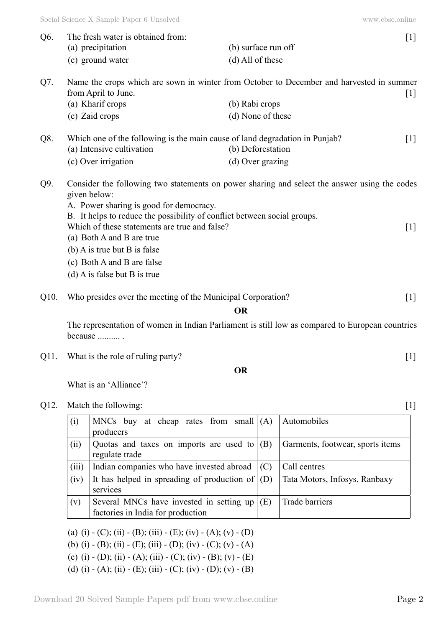| Q6.  | The fresh water is obtained from:                                                                                                                                                                                      |                     | $[1]$                            |
|------|------------------------------------------------------------------------------------------------------------------------------------------------------------------------------------------------------------------------|---------------------|----------------------------------|
|      | (a) precipitation                                                                                                                                                                                                      | (b) surface run off |                                  |
|      | (c) ground water                                                                                                                                                                                                       | (d) All of these    |                                  |
| Q7.  | Name the crops which are sown in winter from October to December and harvested in summer<br>from April to June.                                                                                                        |                     | $[1]$                            |
|      | (a) Kharif crops                                                                                                                                                                                                       | (b) Rabi crops      |                                  |
|      | (c) Zaid crops                                                                                                                                                                                                         | (d) None of these   |                                  |
| Q8.  | Which one of the following is the main cause of land degradation in Punjab?                                                                                                                                            |                     | $[1]$                            |
|      | (a) Intensive cultivation                                                                                                                                                                                              | (b) Deforestation   |                                  |
|      | (c) Over irrigation                                                                                                                                                                                                    | (d) Over grazing    |                                  |
| Q9.  | Consider the following two statements on power sharing and select the answer using the codes<br>given below:<br>A. Power sharing is good for democracy.                                                                |                     |                                  |
|      | B. It helps to reduce the possibility of conflict between social groups.<br>Which of these statements are true and false?<br>(a) Both A and B are true<br>$(b)$ A is true but B is false<br>(c) Both A and B are false |                     | $[1]$                            |
|      | $(d)$ A is false but B is true                                                                                                                                                                                         |                     |                                  |
| Q10. | Who presides over the meeting of the Municipal Corporation?                                                                                                                                                            |                     | $[1]$                            |
|      |                                                                                                                                                                                                                        | <b>OR</b>           |                                  |
|      | The representation of women in Indian Parliament is still low as compared to European countries<br>because                                                                                                             |                     |                                  |
| Q11. | What is the role of ruling party?                                                                                                                                                                                      |                     | $[1]$                            |
|      |                                                                                                                                                                                                                        | <b>OR</b>           |                                  |
|      | What is an 'Alliance'?                                                                                                                                                                                                 |                     |                                  |
| Q12. | Match the following:                                                                                                                                                                                                   |                     | $[1]$                            |
|      | MNCs buy at cheap rates from small $(A)$<br>(i)<br>producers                                                                                                                                                           |                     | Automobiles                      |
|      | Quotas and taxes on imports are used to $ (B)$<br>(ii)<br>regulate trade                                                                                                                                               |                     | Garments, footwear, sports items |
|      |                                                                                                                                                                                                                        |                     |                                  |

|       | regulate trage                                        |                               |
|-------|-------------------------------------------------------|-------------------------------|
| (iii) | Indian companies who have invested abroad $\vert$ (C) | Call centres                  |
| (iv)  | It has helped in spreading of production of $($ D $)$ | Tata Motors, Infosys, Ranbaxy |
|       | services                                              |                               |
| (v)   | Several MNCs have invested in setting up $(E)$        | Trade barriers                |
|       | factories in India for production                     |                               |

(a) (i) - (C); (ii) - (B); (iii) - (E); (iv) - (A); (v) - (D)

(b) (i) - (B); (ii) - (E); (iii) - (D); (iv) - (C); (v) - (A)

(c) (i) - (D); (ii) - (A); (iii) - (C); (iv) - (B); (v) - (E)

(d) (i) - (A); (ii) - (E); (iii) - (C); (iv) - (D); (v) - (B)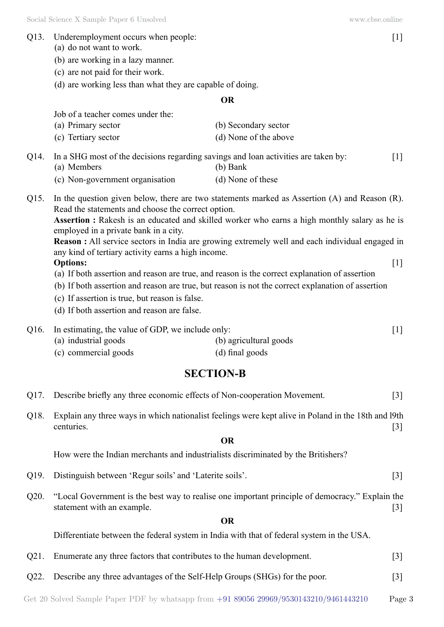- Q13. Underemployment occurs when people: [1]
	- (a) do not want to work.
	- (b) are working in a lazy manner.
	- (c) are not paid for their work.
	- (d) are working less than what they are capable of doing.

## **O**

Job of a teacher comes under the:

| (a) Primary sector  | (b) Secondary sector  |
|---------------------|-----------------------|
| (c) Tertiary sector | (d) None of the above |

- Q14. In a SHG most of the decisions regarding savings and loan activities are taken by: [1] (a) Members (b) Bank
	- (c) Non-government organisation (d) None of these
- Q15. In the question given below, there are two statements marked as Assertion (A) and Reason (R). Read the statements and choose the correct option.

**Assertion :** Rakesh is an educated and skilled worker who earns a high monthly salary as he is employed in a private bank in a city.

**Reason :** All service sectors in India are growing extremely well and each individual engaged in any kind of tertiary activity earns a high income.

# **Options:** [1]

- (a) If both assertion and reason are true, and reason is the correct explanation of assertion
- (b) If both assertion and reason are true, but reason is not the correct explanation of assertion
- (c) If assertion is true, but reason is false.
- (d) If both assertion and reason are false.

| Q16. In estimating, the value of GDP, we include only: |                        |  |
|--------------------------------------------------------|------------------------|--|
| (a) industrial goods                                   | (b) agricultural goods |  |

(c) commercial goods (d) final goods

# **Section-B**

| Q17. Describe briefly any three economic effects of Non-cooperation Movement. | $[3]$ |
|-------------------------------------------------------------------------------|-------|
|-------------------------------------------------------------------------------|-------|

Q18. Explain any three ways in which nationalist feelings were kept alive in Poland in the 18th and l9th centuries. [3]

## **O**

How were the Indian merchants and industrialists discriminated by the Britishers?

- Q19. Distinguish between 'Regur soils' and 'Laterite soils'. [3]
- Q20. "Local Government is the best way to realise one important principle of democracy." Explain the statement with an example. [3]

# **O**

Differentiate between the federal system in India with that of federal system in the USA.

- Q21. Enumerate any three factors that contributes to the human development. [3]
- Q22. Describe any three advantages of the Self-Help Groups (SHGs) for the poor. [3]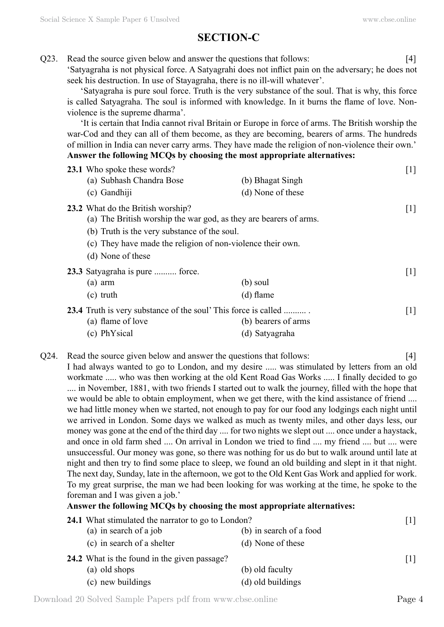# **Section-C**

Q23. Read the source given below and answer the questions that follows: [4]

'Satyagraha is not physical force. A Satyagrahi does not inflict pain on the adversary; he does not seek his destruction. In use of Stayagraha, there is no ill-will whatever'.

'Satyagraha is pure soul force. Truth is the very substance of the soul. That is why, this force is called Satyagraha. The soul is informed with knowledge. In it burns the flame of love. Nonviolence is the supreme dharma'.

'It is certain that India cannot rival Britain or Europe in force of arms. The British worship the war-Cod and they can all of them become, as they are becoming, bearers of arms. The hundreds of million in India can never carry arms. They have made the religion of non-violence their own.' **Answer the following MCQs by choosing the most appropriate alternatives:**

| 23.1 Who spoke these words?<br>(a) Subhash Chandra Bose                                                                                                                                                                                   | (b) Bhagat Singh                      | $[1]$             |
|-------------------------------------------------------------------------------------------------------------------------------------------------------------------------------------------------------------------------------------------|---------------------------------------|-------------------|
| (c) Gandhiji                                                                                                                                                                                                                              | (d) None of these                     |                   |
| 23.2 What do the British worship?<br>(a) The British worship the war god, as they are bearers of arms.<br>(b) Truth is the very substance of the soul.<br>(c) They have made the religion of non-violence their own.<br>(d) None of these |                                       | $\lceil 1 \rceil$ |
| 23.3 Satyagraha is pure  force.<br>(a) arm<br>$(c)$ truth                                                                                                                                                                                 | (b) soul<br>$(d)$ flame               | $\lceil 1 \rceil$ |
| <b>23.4</b> Truth is very substance of the soul' This force is called<br>(a) flame of love<br>(c) PhYsical                                                                                                                                | (b) bearers of arms<br>(d) Satyagraha | $\lceil 1 \rceil$ |

Q24. Read the source given below and answer the questions that follows: [4] I had always wanted to go to London, and my desire ..... was stimulated by letters from an old workmate ..... who was then working at the old Kent Road Gas Works ..... I finally decided to go .... in November, 1881, with two friends I started out to walk the journey, filled with the hope that we would be able to obtain employment, when we get there, with the kind assistance of friend .... we had little money when we started, not enough to pay for our food any lodgings each night until we arrived in London. Some days we walked as much as twenty miles, and other days less, our money was gone at the end of the third day .... for two nights we slept out .... once under a haystack, and once in old farm shed .... On arrival in London we tried to find .... my friend .... but .... were unsuccessful. Our money was gone, so there was nothing for us do but to walk around until late at night and then try to find some place to sleep, we found an old building and slept in it that night. The next day, Sunday, late in the afternoon, we got to the Old Kent Gas Work and applied for work. To my great surprise, the man we had been looking for was working at the time, he spoke to the foreman and I was given a job.'

# **Answer the following MCQs by choosing the most appropriate alternatives:**

| 24.1 What stimulated the narrator to go to London? |                         |                   |
|----------------------------------------------------|-------------------------|-------------------|
| (a) in search of a job                             | (b) in search of a food |                   |
| (c) in search of a shelter                         | (d) None of these       |                   |
| 24.2 What is the found in the given passage?       |                         | $\lceil 1 \rceil$ |
| (a) old shops                                      | (b) old faculty         |                   |
| (c) new buildings                                  | (d) old buildings       |                   |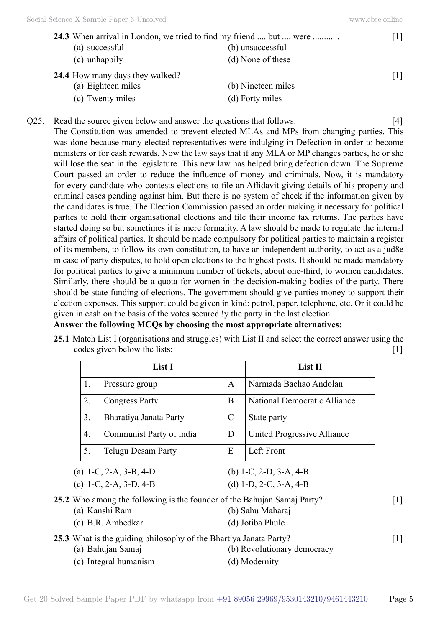|                                        | 24.3 When arrival in London, we tried to find my friend  but  were |                   |
|----------------------------------------|--------------------------------------------------------------------|-------------------|
| (a) successful                         | (b) unsuccessful                                                   |                   |
| (c) unhappily                          | (d) None of these                                                  |                   |
| <b>24.4</b> How many days they walked? |                                                                    | $\lceil 1 \rceil$ |
| (a) Eighteen miles                     | (b) Nineteen miles                                                 |                   |
| (c) Twenty miles                       | (d) Forty miles                                                    |                   |

Q25. Read the source given below and answer the questions that follows: [4] The Constitution was amended to prevent elected MLAs and MPs from changing parties. This was done because many elected representatives were indulging in Defection in order to become ministers or for cash rewards. Now the law says that if any MLA or MP changes parties, he or she will lose the seat in the legislature. This new law has helped bring defection down. The Supreme Court passed an order to reduce the influence of money and criminals. Now, it is mandatory for every candidate who contests elections to file an Affidavit giving details of his property and criminal cases pending against him. But there is no system of check if the information given by the candidates is true. The Election Commission passed an order making it necessary for political parties to hold their organisational elections and file their income tax returns. The parties have started doing so but sometimes it is mere formality. A law should be made to regulate the internal affairs of political parties. It should be made compulsory for political parties to maintain a register of its members, to follow its own constitution, to have an independent authority, to act as a jud8e in case of party disputes, to hold open elections to the highest posts. It should be made mandatory for political parties to give a minimum number of tickets, about one-third, to women candidates. Similarly, there should be a quota for women in the decision-making bodies of the party. There should be state funding of elections. The government should give parties money to support their election expenses. This support could be given in kind: petrol, paper, telephone, etc. Or it could be given in cash on the basis of the votes secured !y the party in the last election.

#### **Answer the following MCQs by choosing the most appropriate alternatives:**

**25.1** Match List I (organisations and struggles) with List II and select the correct answer using the codes given below the lists: [1]

|    | List I                                                                                    |               | List II                      |                   |
|----|-------------------------------------------------------------------------------------------|---------------|------------------------------|-------------------|
| 1. | Pressure group                                                                            | A             | Narmada Bachao Andolan       |                   |
| 2. | <b>Congress Party</b>                                                                     | B             | National Democratic Alliance |                   |
| 3. | Bharatiya Janata Party                                                                    | $\mathcal{C}$ | State party                  |                   |
| 4. | Communist Party of India                                                                  | D             | United Progressive Alliance  |                   |
| 5. | <b>Telugu Desam Party</b>                                                                 | E             | Left Front                   |                   |
|    | (a) 1-C, 2-A, 3-B, 4-D                                                                    |               | (b) 1-C, 2-D, 3-A, 4-B       |                   |
|    | (c) 1-C, 2-A, 3-D, 4-B                                                                    |               | (d) 1-D, 2-C, 3-A, 4-B       |                   |
|    | 25.2 Who among the following is the founder of the Bahujan Samaj Party?<br>(a) Kanshi Ram |               | (b) Sahu Maharaj             | $\lceil 1 \rceil$ |
|    | (c) B.R. Ambedkar                                                                         |               | (d) Jotiba Phule             |                   |
|    | 25.3 What is the guiding philosophy of the Bhartiya Janata Party?<br>(a) Bahujan Samaj    |               | (b) Revolutionary democracy  | $\lceil 1 \rceil$ |
|    | (c) Integral humanism                                                                     |               | (d) Modernity                |                   |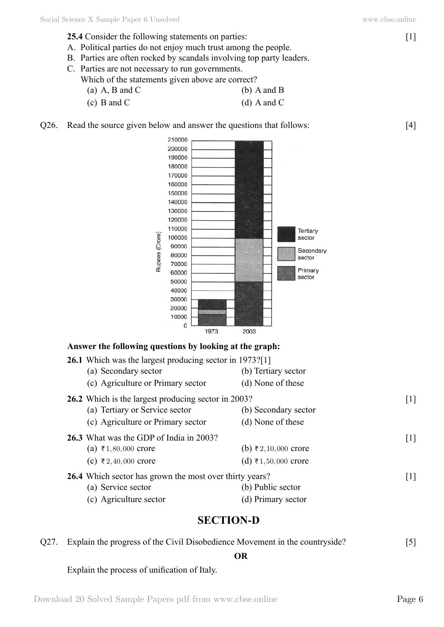- **25.4** Consider the following statements on parties: [1]
- A. Political parties do not enjoy much trust among the people.
- B. Parties are often rocked by scandals involving top party leaders.
- C. Parties are not necessary to run governments.
	- Which of the statements given above are correct?
		- (a)  $A$ ,  $B$  and  $C$  (b)  $A$  and  $B$ (c)  $B$  and  $C$  (d)  $A$  and  $C$
- Q26. Read the source given below and answer the questions that follows: [4]



# **Section-D**

|  | Q27. Explain the progress of the Civil Disobedience Movement in the countryside? |  |
|--|----------------------------------------------------------------------------------|--|
|  | OR                                                                               |  |

Explain the process of unification of Italy.